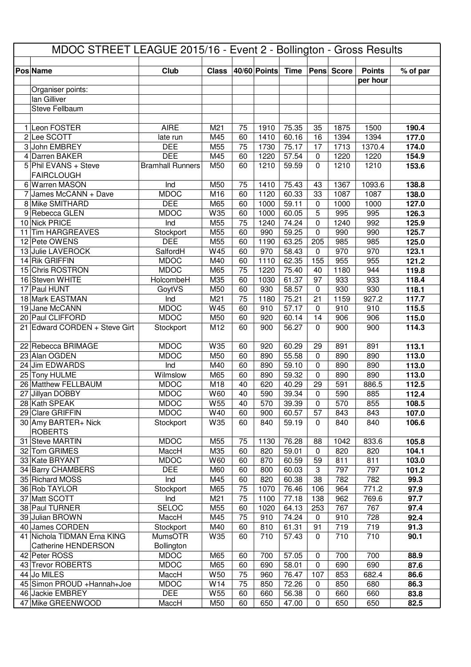| MDOC STREET LEAGUE 2015/16 - Event 2 - Bollington - Gross Results |                                    |                         |                 |          |                   |                    |                    |            |                           |                |
|-------------------------------------------------------------------|------------------------------------|-------------------------|-----------------|----------|-------------------|--------------------|--------------------|------------|---------------------------|----------------|
|                                                                   |                                    |                         |                 |          |                   |                    |                    |            |                           |                |
|                                                                   | <b>Pos Name</b>                    | Club                    | <b>Class</b>    |          | 40/60 Points Time |                    |                    | Pens Score | <b>Points</b><br>per hour | % of par       |
|                                                                   | Organiser points:                  |                         |                 |          |                   |                    |                    |            |                           |                |
|                                                                   | lan Gilliver                       |                         |                 |          |                   |                    |                    |            |                           |                |
|                                                                   | Steve Fellbaum                     |                         |                 |          |                   |                    |                    |            |                           |                |
|                                                                   |                                    |                         |                 |          |                   |                    |                    |            |                           |                |
|                                                                   | 1 Leon FOSTER                      | <b>AIRE</b>             | M21             | 75       | 1910              | 75.35              | 35                 | 1875       | 1500                      | 190.4          |
|                                                                   | 2 Lee SCOTT                        | late run                | M45             | 60       | 1410              | 60.16              | 16                 | 1394       | 1394                      | 177.0          |
|                                                                   | 3 John EMBREY                      | <b>DEE</b>              | M55             | 75       | 1730              | 75.17              | 17                 | 1713       | 1370.4                    | 174.0          |
|                                                                   | 4 Darren BAKER                     | <b>DEE</b>              | M45             | 60       | 1220              | 57.54              | $\mathbf 0$        | 1220       | 1220                      | 154.9          |
|                                                                   | 5 Phil EVANS + Steve               | <b>Bramhall Runners</b> | M50             | 60       | 1210              | 59.59              | $\Omega$           | 1210       | 1210                      | 153.6          |
|                                                                   | <b>FAIRCLOUGH</b>                  |                         |                 |          |                   |                    |                    |            |                           |                |
|                                                                   | 6 Warren MASON                     | Ind                     | M50             | 75       | 1410              | $75.\overline{43}$ | 43                 | 1367       | 1093.6                    | 138.8          |
|                                                                   | 7 James McCANN + Dave              | <b>MDOC</b>             | M16             | 60       | 1120              | 60.33              | 33                 | 1087       | 1087                      | 138.0          |
|                                                                   | 8 Mike SMITHARD                    | <b>DEE</b>              | M65             | 60       | 1000              | 59.11              | $\mathbf 0$        | 1000       | 1000                      | 127.0          |
|                                                                   | 9 Rebecca GLEN                     | <b>MDOC</b>             | W35             | 60       | 1000              | 60.05              | 5                  | 995        | 995                       | 126.3          |
|                                                                   | 10 Nick PRICE                      | Ind                     | M55             | 75       | 1240              | 74.24              | $\mathbf 0$        | 1240       | 992                       | 125.9          |
|                                                                   | 11 Tim HARGREAVES<br>12 Pete OWENS | Stockport<br><b>DEE</b> | M55             | 60       | 990               | 59.25              | $\mathbf 0$<br>205 | 990        | 990<br>985                | 125.7          |
|                                                                   | 13 Julie LAVEROCK                  | SalfordH                | M55<br>W45      | 60<br>60 | 1190<br>970       | 63.25<br>58.43     | $\mathbf 0$        | 985<br>970 | 970                       | 125.0<br>123.1 |
|                                                                   | 14 Rik GRIFFIN                     | <b>MDOC</b>             | M40             | 60       | 1110              | 62.35              | 155                | 955        | 955                       | 121.2          |
|                                                                   | 15 Chris ROSTRON                   | <b>MDOC</b>             | M65             | 75       | 1220              | 75.40              | 40                 | 1180       | 944                       | 119.8          |
|                                                                   | 16 Steven WHITE                    | HolcombeH               | M35             | 60       | 1030              | $61.\overline{37}$ | 97                 | 933        | 933                       | 118.4          |
|                                                                   | 17 Paul HUNT                       | GoytVS                  | M50             | 60       | 930               | 58.57              | $\mathbf 0$        | 930        | 930                       | 118.1          |
|                                                                   | 18 Mark EASTMAN                    | Ind                     | M21             | 75       | 1180              | 75.21              | 21                 | 1159       | 927.2                     | 117.7          |
|                                                                   | 19 Jane McCANN                     | <b>MDOC</b>             | W45             | 60       | 910               | 57.17              | $\mathbf 0$        | 910        | 910                       | 115.5          |
|                                                                   | 20 Paul CLIFFORD                   | <b>MDOC</b>             | M50             | 60       | 920               | 60.14              | 14                 | 906        | 906                       | 115.0          |
|                                                                   | 21 Edward CORDEN + Steve Girt      | Stockport               | M12             | 60       | 900               | 56.27              | $\mathbf 0$        | 900        | 900                       | 114.3          |
|                                                                   |                                    |                         |                 |          |                   |                    |                    |            |                           |                |
|                                                                   | 22 Rebecca BRIMAGE                 | <b>MDOC</b>             | W35             | 60       | 920               | 60.29              | 29                 | 891        | 891                       | 113.1          |
|                                                                   | 23 Alan OGDEN                      | <b>MDOC</b>             | M50             | 60       | 890               | 55.58              | $\mathbf 0$        | 890        | 890                       | 113.0          |
|                                                                   | 24 Jim EDWARDS                     | Ind                     | M40             | 60       | 890               | 59.10              | $\mathbf 0$        | 890        | 890                       | 113.0          |
|                                                                   | 25 Tony HULME                      | Wilmslow                | M65             | 60       | 890               | 59.32              | $\mathbf 0$        | 890        | 890                       | 113.0          |
|                                                                   | 26 Matthew FELLBAUM                | <b>MDOC</b>             | M18             | 40       | 620               | 40.29              | 29                 | 591        | 886.5                     | 112.5          |
|                                                                   | 27 Jillyan DOBBY                   | <b>MDOC</b>             | W60             | 40       | 590               | 39.34              | $\Omega$           | 590        | 885                       | 112.4          |
|                                                                   | 28 Kath SPEAK                      | <b>MDOC</b>             | W <sub>55</sub> | 40       | 570               | 39.39              | 0                  | 570        | 855                       | 108.5          |
|                                                                   | 29 Clare GRIFFIN                   | <b>MDOC</b>             | W40             | 60       | 900               | 60.57              | 57                 | 843        | 843                       | 107.0          |
|                                                                   | 30 Amy BARTER+ Nick                | Stockport               | W35             | 60       | 840               | 59.19              | $\mathbf 0$        | 840        | 840                       | 106.6          |
|                                                                   | <b>ROBERTS</b><br>31 Steve MARTIN  | <b>MDOC</b>             |                 |          |                   |                    |                    | 1042       |                           |                |
|                                                                   | 32 Tom GRIMES                      | MaccH                   | M55<br>M35      | 75<br>60 | 1130<br>820       | 76.28<br>59.01     | 88<br>$\mathbf 0$  | 820        | 833.6<br>820              | 105.8<br>104.1 |
|                                                                   | 33 Kate BRYANT                     | <b>MDOC</b>             | W60             | 60       | 870               | 60.59              | 59                 | 811        | 811                       | 103.0          |
|                                                                   | 34 Barry CHAMBERS                  | <b>DEE</b>              | M60             | 60       | 800               | 60.03              | 3                  | 797        | 797                       | 101.2          |
|                                                                   | 35 Richard MOSS                    | Ind                     | M45             | 60       | 820               | 60.38              | 38                 | 782        | 782                       | 99.3           |
|                                                                   | 36 Rob TAYLOR                      | Stockport               | M65             | 75       | 1070              | 76.46              | 106                | 964        | 771.2                     | 97.9           |
|                                                                   | 37 Matt SCOTT                      | Ind                     | M21             | 75       | 1100              | 77.18              | 138                | 962        | 769.6                     | 97.7           |
|                                                                   | 38 Paul TURNER                     | <b>SELOC</b>            | M55             | 60       | 1020              | 64.13              | 253                | 767        | 767                       | 97.4           |
|                                                                   | 39 Julian BROWN                    | MaccH                   | M45             | 75       | 910               | 74.24              | $\mathbf 0$        | 910        | 728                       | 92.4           |
|                                                                   | 40 James CORDEN                    | Stockport               | M40             | 60       | 810               | 61.31              | 91                 | 719        | 719                       | 91.3           |
|                                                                   | 41 Nichola TIDMAN Erna KING        | <b>MumsOTR</b>          | W35             | 60       | 710               | 57.43              | $\mathbf 0$        | 710        | 710                       | 90.1           |
|                                                                   | Catherine HENDERSON                | Bollington              |                 |          |                   |                    |                    |            |                           |                |
|                                                                   | 42 Peter ROSS                      | <b>MDOC</b>             | M65             | 60       | 700               | 57.05              | $\mathbf 0$        | 700        | 700                       | 88.9           |
|                                                                   | 43 Trevor ROBERTS                  | <b>MDOC</b>             | M65             | 60       | 690               | 58.01              | $\mathbf 0$        | 690        | 690                       | 87.6           |
|                                                                   | 44 Jo MILES                        | MaccH                   | W <sub>50</sub> | 75       | 960               | 76.47              | 107                | 853        | 682.4                     | 86.6           |
|                                                                   | 45 Simon PROUD + Hannah+Joe        | <b>MDOC</b>             | W14             | 75       | 850               | 72.26              | $\mathbf 0$        | 850        | 680                       | 86.3           |
|                                                                   | 46 Jackie EMBREY                   | <b>DEE</b>              | W <sub>55</sub> | 60       | 660               | 56.38              | $\mathbf 0$        | 660        | 660                       | 83.8           |
|                                                                   | 47 Mike GREENWOOD                  | MaccH                   | M50             | 60       | 650               | 47.00              | 0                  | 650        | 650                       | 82.5           |